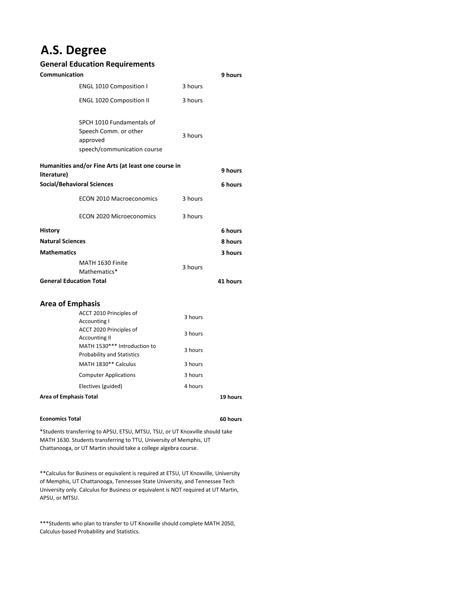## **A.S. Degree**

## **General Education Requirements**

| Communication                                                      |                                                                                               |         | 9 hours  |
|--------------------------------------------------------------------|-----------------------------------------------------------------------------------------------|---------|----------|
|                                                                    | <b>ENGL 1010 Composition I</b>                                                                | 3 hours |          |
|                                                                    | <b>ENGL 1020 Composition II</b>                                                               | 3 hours |          |
|                                                                    | SPCH 1010 Fundamentals of<br>Speech Comm. or other<br>approved<br>speech/communication course | 3 hours |          |
| Humanities and/or Fine Arts (at least one course in<br>literature) |                                                                                               |         | 9 hours  |
| <b>Social/Behavioral Sciences</b>                                  |                                                                                               |         | 6 hours  |
|                                                                    | <b>ECON 2010 Macroeconomics</b>                                                               | 3 hours |          |
|                                                                    | <b>ECON 2020 Microeconomics</b>                                                               | 3 hours |          |
| History                                                            |                                                                                               |         | 6 hours  |
| <b>Natural Sciences</b>                                            |                                                                                               |         | 8 hours  |
| <b>Mathematics</b>                                                 |                                                                                               |         | 3 hours  |
|                                                                    | MATH 1630 Finite<br>Mathematics*                                                              | 3 hours |          |
| <b>General Education Total</b>                                     |                                                                                               |         | 41 hours |

## **Area of Emphasis**

| ACCT 2010 Principles of<br>Accounting I<br>ACCT 2020 Principles of | 3 hours  |  |
|--------------------------------------------------------------------|----------|--|
| <b>Accounting II</b>                                               | 3 hours  |  |
| MATH 1530*** Introduction to<br><b>Probability and Statistics</b>  | 3 hours  |  |
| MATH 1830** Calculus                                               | 3 hours  |  |
| <b>Computer Applications</b>                                       | 3 hours  |  |
| Electives (guided)                                                 | 4 hours  |  |
| <b>Area of Emphasis Total</b>                                      | 19 hours |  |

## **Economics Total**

**60 hours**

\*Students transferring to APSU, ETSU, MTSU, TSU, or UT Knoxville should take MATH 1630. Students transferring to TTU, University of Memphis, UT Chattanooga, or UT Martin should take a college algebra course.

\*\*Calculus for Business or equivalent is required at ETSU, UT Knoxville, University of Memphis, UT Chattanooga, Tennessee State University, and Tennessee Tech University only. Calculus for Business or equivalent is NOT required at UT Martin, APSU, or MTSU.

\*\*\*Students who plan to transfer to UT Knoxville should complete MATH 2050, Calculus-based Probability and Statistics.